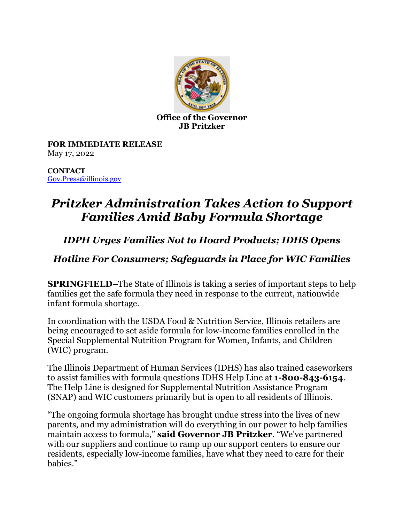

**Office of the Governor JB Pritzker**

**FOR IMMEDIATE RELEASE** May 17, 2022

**CONTACT** [Gov.Press@illinois.gov](mailto:Gov.Press@illinois.gov)

## *Pritzker Administration Takes Action to Support Families Amid Baby Formula Shortage*

## *IDPH Urges Families Not to Hoard Products; IDHS Opens*

## *Hotline For Consumers; Safeguards in Place for WIC Families*

**SPRINGFIELD**–The State of Illinois is taking a series of important steps to help families get the safe formula they need in response to the current, nationwide infant formula shortage.

In coordination with the USDA Food & Nutrition Service, Illinois retailers are being encouraged to set aside formula for low-income families enrolled in the Special Supplemental Nutrition Program for Women, Infants, and Children (WIC) program.

The Illinois Department of Human Services (IDHS) has also trained caseworkers to assist families with formula questions IDHS Help Line at **1-800-843-6154**. The Help Line is designed for Supplemental Nutrition Assistance Program (SNAP) and WIC customers primarily but is open to all residents of Illinois.

"The ongoing formula shortage has brought undue stress into the lives of new parents, and my administration will do everything in our power to help families maintain access to formula," **said Governor JB Pritzker**. "We've partnered with our suppliers and continue to ramp up our support centers to ensure our residents, especially low-income families, have what they need to care for their habies"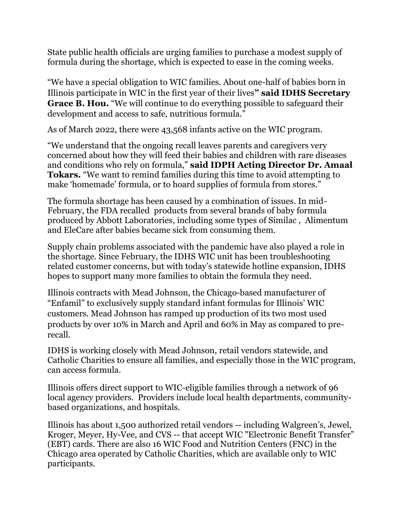State public health officials are urging families to purchase a modest supply of formula during the shortage, which is expected to ease in the coming weeks.

"We have a special obligation to WIC families. About one-half of babies born in Illinois participate in WIC in the first year of their lives**" said IDHS Secretary Grace B. Hou.** "We will continue to do everything possible to safeguard their development and access to safe, nutritious formula."

As of March 2022, there were 43,568 infants active on the WIC program.

"We understand that the ongoing recall leaves parents and caregivers very concerned about how they will feed their babies and children with rare diseases and conditions who rely on formula," **said IDPH Acting Director Dr. Amaal Tokars.** "We want to remind families during this time to avoid attempting to make 'homemade' formula, or to hoard supplies of formula from stores."

The formula shortage has been caused by a combination of issues. In mid-February, the FDA recalled [products from several brands of baby formula](https://www.indystar.com/story/money/shopping/2022/02/17/similac-recall-fda-warning-abbott-baby-formula/6837340001/)  produced by Abbott Laboratories, including some types of Similac , Alimentum and EleCare after babies became sick from consuming them.

Supply chain problems associated with the pandemic have also played a role in the shortage. Since February, the IDHS WIC unit has been troubleshooting related customer concerns, but with today's statewide hotline expansion, IDHS hopes to support many more families to obtain the formula they need.

Illinois contracts with [Mead Johnson,](https://www.meadjohnson.com/) the Chicago-based manufacturer of "Enfamil" to exclusively supply standard infant formulas for Illinois' WIC customers. Mead Johnson has ramped up production of its two most used products by over 10% in March and April and 60% in May as compared to prerecall.

IDHS is working closely with Mead Johnson, retail vendors statewide, and Catholic Charities to ensure all families, and especially those in the WIC program, can access formula.

Illinois offers direct support to WIC-eligible families through a network of 96 local agency providers. Providers include local health departments, communitybased organizations, and hospitals.

Illinois has about 1,500 authorized retail vendors -- including Walgreen's, Jewel, Kroger, Meyer, Hy-Vee, and CVS -- that accept WIC "Electronic Benefit Transfer" (EBT) cards. There are also 16 WIC Food and Nutrition Centers (FNC) in the Chicago area operated by Catholic Charities, which are available only to WIC participants.